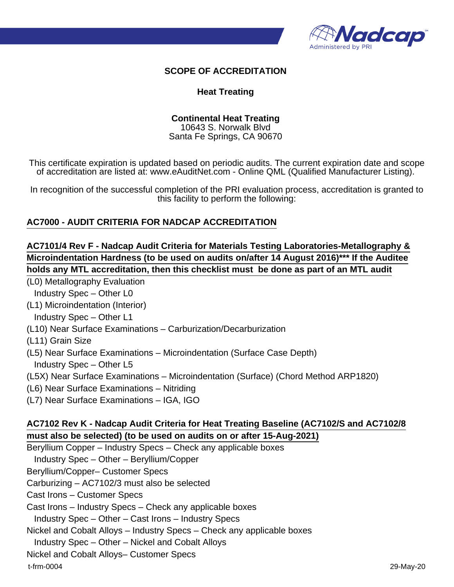

### **SCOPE OF ACCREDITATION**

#### **Heat Treating**

#### **Continental Heat Treating**

10643 S. Norwalk Blvd Santa Fe Springs, CA 90670

This certificate expiration is updated based on periodic audits. The current expiration date and scope of accreditation are listed at: www.eAuditNet.com - Online QML (Qualified Manufacturer Listing).

In recognition of the successful completion of the PRI evaluation process, accreditation is granted to this facility to perform the following:

### **AC7000 - AUDIT CRITERIA FOR NADCAP ACCREDITATION**

## **AC7101/4 Rev F - Nadcap Audit Criteria for Materials Testing Laboratories-Metallography & Microindentation Hardness (to be used on audits on/after 14 August 2016)\*\*\* If the Auditee holds any MTL accreditation, then this checklist must be done as part of an MTL audit**

(L0) Metallography Evaluation

Industry Spec – Other L0

(L1) Microindentation (Interior)

Industry Spec – Other L1

(L10) Near Surface Examinations – Carburization/Decarburization

(L11) Grain Size

- (L5) Near Surface Examinations Microindentation (Surface Case Depth) Industry Spec – Other L5
- (L5X) Near Surface Examinations Microindentation (Surface) (Chord Method ARP1820)
- (L6) Near Surface Examinations Nitriding
- (L7) Near Surface Examinations IGA, IGO

### **AC7102 Rev K - Nadcap Audit Criteria for Heat Treating Baseline (AC7102/S and AC7102/8 must also be selected) (to be used on audits on or after 15-Aug-2021)**

Beryllium Copper – Industry Specs – Check any applicable boxes

Industry Spec – Other – Beryllium/Copper

Beryllium/Copper– Customer Specs

Carburizing – AC7102/3 must also be selected

Cast Irons – Customer Specs

Cast Irons – Industry Specs – Check any applicable boxes

Industry Spec – Other – Cast Irons – Industry Specs

Nickel and Cobalt Alloys – Industry Specs – Check any applicable boxes

Industry Spec – Other – Nickel and Cobalt Alloys

Nickel and Cobalt Alloys– Customer Specs

t-frm-0004 29-May-20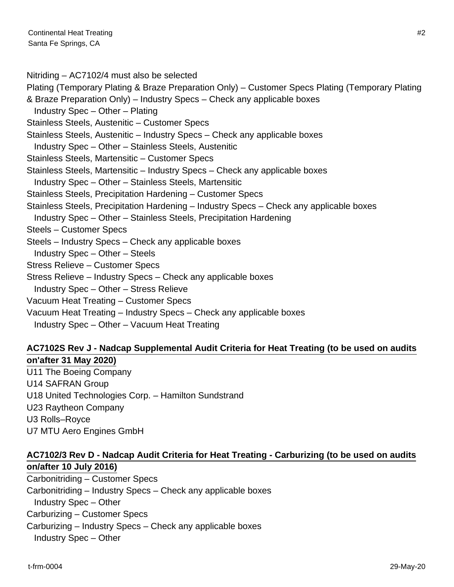Nitriding – AC7102/4 must also be selected

Plating (Temporary Plating & Braze Preparation Only) – Customer Specs Plating (Temporary Plating & Braze Preparation Only) – Industry Specs – Check any applicable boxes

Industry Spec – Other – Plating

Stainless Steels, Austenitic – Customer Specs

Stainless Steels, Austenitic – Industry Specs – Check any applicable boxes

Industry Spec – Other – Stainless Steels, Austenitic

Stainless Steels, Martensitic – Customer Specs

Stainless Steels, Martensitic – Industry Specs – Check any applicable boxes

Industry Spec – Other – Stainless Steels, Martensitic

Stainless Steels, Precipitation Hardening – Customer Specs

Stainless Steels, Precipitation Hardening – Industry Specs – Check any applicable boxes

Industry Spec – Other – Stainless Steels, Precipitation Hardening

Steels – Customer Specs

Steels – Industry Specs – Check any applicable boxes

Industry Spec – Other – Steels

Stress Relieve – Customer Specs

Stress Relieve – Industry Specs – Check any applicable boxes

Industry Spec – Other – Stress Relieve

Vacuum Heat Treating – Customer Specs

Vacuum Heat Treating – Industry Specs – Check any applicable boxes

Industry Spec – Other – Vacuum Heat Treating

# **AC7102S Rev J - Nadcap Supplemental Audit Criteria for Heat Treating (to be used on audits on'after 31 May 2020)**

U11 The Boeing Company

U14 SAFRAN Group

U18 United Technologies Corp. – Hamilton Sundstrand

U23 Raytheon Company

U3 Rolls–Royce

U7 MTU Aero Engines GmbH

# **AC7102/3 Rev D - Nadcap Audit Criteria for Heat Treating - Carburizing (to be used on audits on/after 10 July 2016)**

Carbonitriding – Customer Specs Carbonitriding – Industry Specs – Check any applicable boxes Industry Spec – Other Carburizing – Customer Specs Carburizing – Industry Specs – Check any applicable boxes Industry Spec – Other